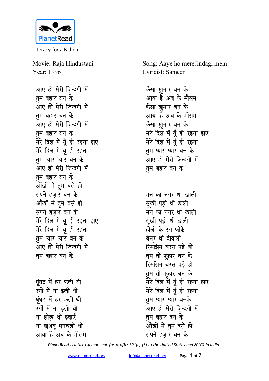

Literacy for a Billion

Movie: Raja Hindustani Year: 1996

आए हो मेरी जिन्दगी में **तुम बहार बन के** आए हो मेरी जिन्दगी में **तुम बहार बन के** आए हो मेरी जिन्दगी में **तुम बहार बन के** मेरे दिल में यूँ ही रहना हाए मेरे दिल में यूँ ही रहना <u>त</u>ुम प्यार पार बन के आए हो मेरी जिन्दगी में **तुम बहार बन के** <u>आँखों में तुम बसे हो</u> **सपने हजार बन के** <u>आँखों में त</u>ुम बसे हो सपने हजार बन के मेरे दिल में यूँ ही रहना हाए <u>मेरे दिल में यूँ</u> ही रहना <u>त</u>म प्यार पार बन के <u>आए</u> हो मेरी जिन्दगी में <u>तू</u>म बहार बन के

<u>घूं</u>घट में हर कली थी रंगों में ना ढ़ली थी <u>घंघट में हर कली थी</u> रंगों में ना ढली थी <u>ना शोख थी हवाएँ</u> **ना ख़ुशबू मनचली थी** आया है अब के मौसम Song: Aaye ho mereJindagi mein Lyricist: Sameer

```
<u>कैसा ख</u>ुमार बन के
आया है अब के मौसम
<u>कैसा खमार बन के</u>
आया है अब के मौसम
<u>कैसा ख</u>ुमार बन के
मेरे दिल में यूँ ही रहना हाए
मेरे दिल में यूँ ही रहना
तुम प्यार पार बन के
आए हो मेरी जिन्दगी में
तुम बहार बन के
```
मन का नगर था खाल<u>ी</u> **सूखी पड़ी थी डाली** मन का नगर था खाल<u>ी</u> *सु*खी पडी थी डाली होली के रंग फीके बेनुर थी दीवाली <u>रिमझिम बरस पडे हो</u> तुम तो फ़ूहार बन क<mark>े</mark> **रिमझिम बरस पड़े हो** तुम तो फुहार बन के मेरे दिल में यूँ ही रहना हाए मेरे दिल में यूँ ही रहना **तम प्यार प्यार बनके** आए हो मेरी जिन्दगी में <u>त</u>ुम बहार बन के <u>ऑंखों में त</u>ुम बसे हो **सपने हजार बन** के

*PlanetRead is a tax-exempt, not-for-profit: 501(c) (3) in the United States and 80(G) in India.*